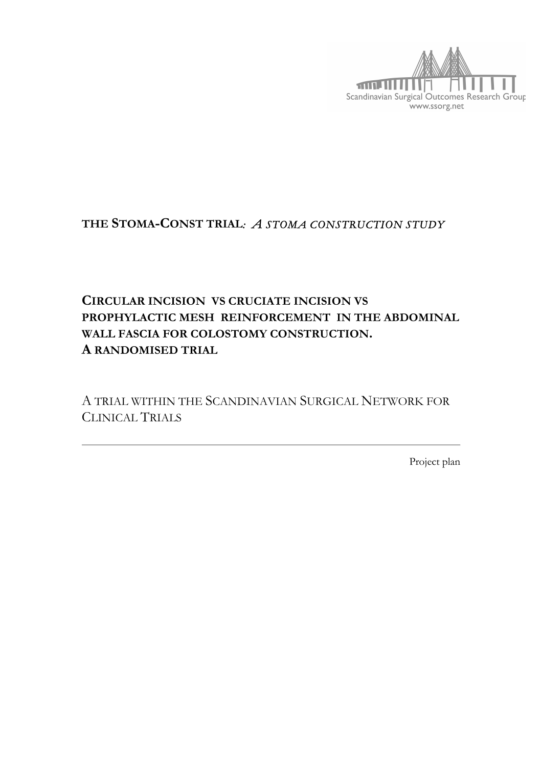

# **THE STOMA-CONST TRIAL***: A STOMA CONSTRUCTION STUDY*

# **CIRCULAR INCISION VS CRUCIATE INCISION VS PROPHYLACTIC MESH REINFORCEMENT IN THE ABDOMINAL WALL FASCIA FOR COLOSTOMY CONSTRUCTION. A RANDOMISED TRIAL**

A TRIAL WITHIN THE SCANDINAVIAN SURGICAL NETWORK FOR CLINICAL TRIALS

Project plan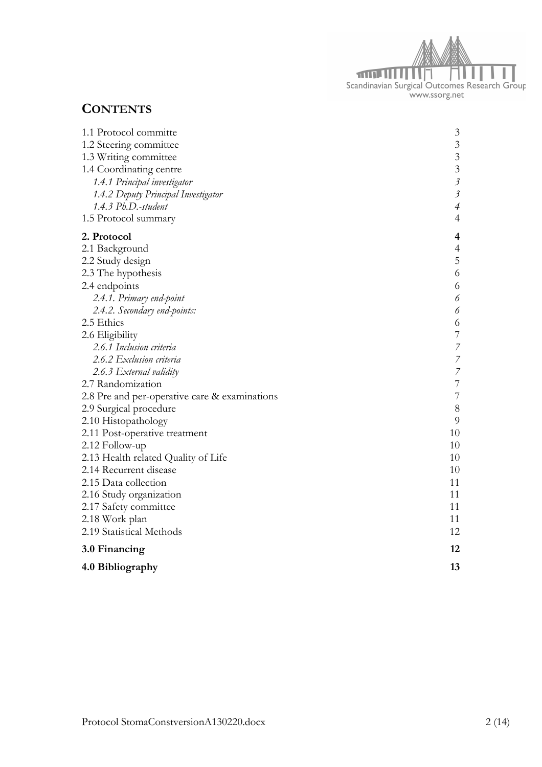

# **CONTENTS**

| 1.1 Protocol committe                         | 3                         |
|-----------------------------------------------|---------------------------|
| 1.2 Steering committee                        | $\overline{3}$            |
| 1.3 Writing committee                         | $\overline{3}$            |
| 1.4 Coordinating centre                       | $\overline{3}$            |
| 1.4.1 Principal investigator                  | $\mathfrak{Z}$            |
| 1.4.2 Deputy Principal Investigator           | $\overline{\mathfrak{z}}$ |
| 1.4.3 Ph.D.-student                           | $\overline{\mathcal{A}}$  |
| 1.5 Protocol summary                          | $\overline{4}$            |
| 2. Protocol                                   | 4                         |
| 2.1 Background                                | $\overline{4}$            |
| 2.2 Study design                              | 5                         |
| 2.3 The hypothesis                            | 6                         |
| 2.4 endpoints                                 | 6                         |
| 2.4.1. Primary end-point                      | 6                         |
| 2.4.2. Secondary end-points:                  | 6                         |
| 2.5 Ethics                                    | 6                         |
| 2.6 Eligibility                               | $\overline{7}$            |
| 2.6.1 Inclusion criteria                      | $\overline{7}$            |
| 2.6.2 Exclusion criteria                      | $\overline{7}$            |
| 2.6.3 External validity                       | $\overline{7}$            |
| 2.7 Randomization                             | $\overline{7}$            |
| 2.8 Pre and per-operative care & examinations | $\overline{7}$            |
| 2.9 Surgical procedure                        | 8                         |
| 2.10 Histopathology                           | 9                         |
| 2.11 Post-operative treatment                 | 10                        |
| 2.12 Follow-up                                | 10                        |
| 2.13 Health related Quality of Life           | 10                        |
| 2.14 Recurrent disease                        | 10                        |
| 2.15 Data collection                          | 11                        |
| 2.16 Study organization                       | 11                        |
| 2.17 Safety committee                         | 11                        |
| 2.18 Work plan                                | 11                        |
| 2.19 Statistical Methods                      | 12                        |
| 3.0 Financing                                 | 12                        |
| 4.0 Bibliography                              | 13                        |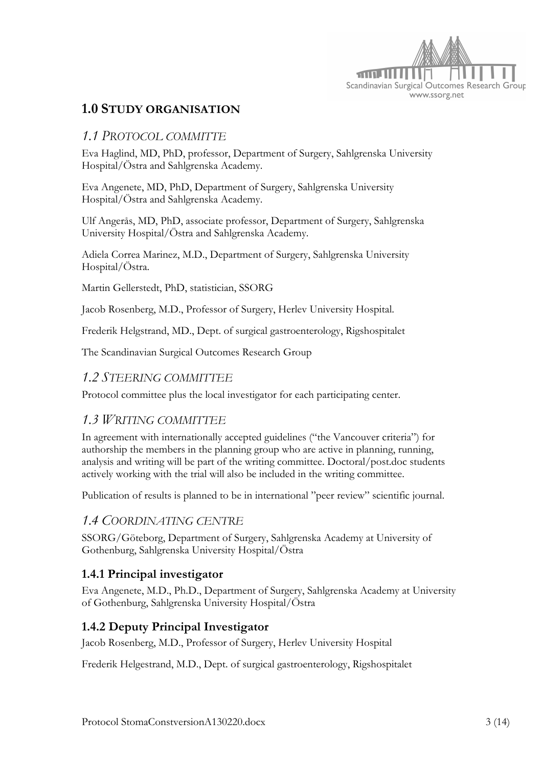

## **1.0 STUDY ORGANISATION**

### *1.1 PROTOCOL COMMITTE*

Eva Haglind, MD, PhD, professor, Department of Surgery, Sahlgrenska University Hospital/Östra and Sahlgrenska Academy.

Eva Angenete, MD, PhD, Department of Surgery, Sahlgrenska University Hospital/Östra and Sahlgrenska Academy.

Ulf Angerås, MD, PhD, associate professor, Department of Surgery, Sahlgrenska University Hospital/Östra and Sahlgrenska Academy.

Adiela Correa Marinez, M.D., Department of Surgery, Sahlgrenska University Hospital/Östra.

Martin Gellerstedt, PhD, statistician, SSORG

Jacob Rosenberg, M.D., Professor of Surgery, Herlev University Hospital.

Frederik Helgstrand, MD., Dept. of surgical gastroenterology, Rigshospitalet

The Scandinavian Surgical Outcomes Research Group

#### *1.2 STEERING COMMITTEE*

Protocol committee plus the local investigator for each participating center.

#### *1.3 WRITING COMMITTEE*

In agreement with internationally accepted guidelines ("the Vancouver criteria") for authorship the members in the planning group who are active in planning, running, analysis and writing will be part of the writing committee. Doctoral/post.doc students actively working with the trial will also be included in the writing committee.

Publication of results is planned to be in international "peer review" scientific journal.

#### *1.4 COORDINATING CENTRE*

SSORG/Göteborg, Department of Surgery, Sahlgrenska Academy at University of Gothenburg, Sahlgrenska University Hospital/Östra

#### **1.4.1 Principal investigator**

Eva Angenete, M.D., Ph.D., Department of Surgery, Sahlgrenska Academy at University of Gothenburg, Sahlgrenska University Hospital/Östra

#### **1.4.2 Deputy Principal Investigator**

Jacob Rosenberg, M.D., Professor of Surgery, Herlev University Hospital

Frederik Helgestrand, M.D., Dept. of surgical gastroenterology, Rigshospitalet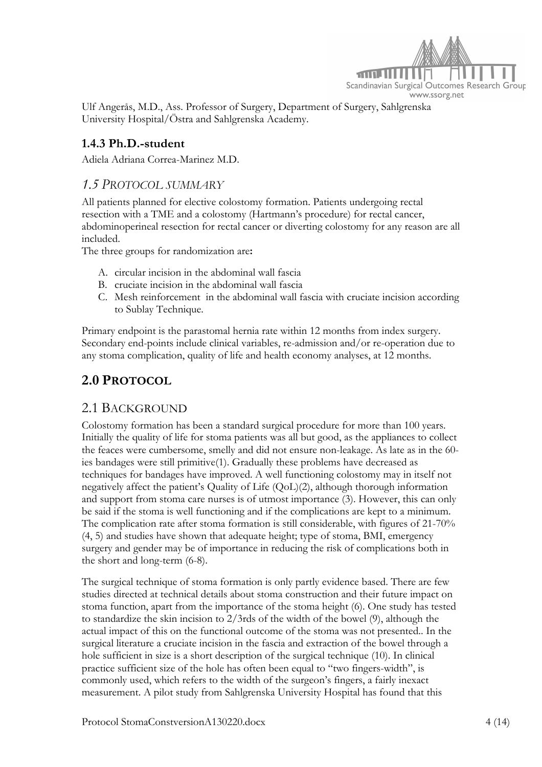

Ulf Angerås, M.D., Ass. Professor of Surgery, Department of Surgery, Sahlgrenska University Hospital/Östra and Sahlgrenska Academy.

### **1.4.3 Ph.D.-student**

Adiela Adriana Correa-Marinez M.D.

#### *1.5 PROTOCOL SUMMARY*

All patients planned for elective colostomy formation. Patients undergoing rectal resection with a TME and a colostomy (Hartmann's procedure) for rectal cancer, abdominoperineal resection for rectal cancer or diverting colostomy for any reason are all included.

The three groups for randomization are**:**

- A. circular incision in the abdominal wall fascia
- B. cruciate incision in the abdominal wall fascia
- C. Mesh reinforcement in the abdominal wall fascia with cruciate incision according to Sublay Technique.

Primary endpoint is the parastomal hernia rate within 12 months from index surgery. Secondary end-points include clinical variables, re-admission and/or re-operation due to any stoma complication, quality of life and health economy analyses, at 12 months.

# **2.0 PROTOCOL**

#### 2.1 BACKGROUND

Colostomy formation has been a standard surgical procedure for more than 100 years. Initially the quality of life for stoma patients was all but good, as the appliances to collect the feaces were cumbersome, smelly and did not ensure non-leakage. As late as in the 60 ies bandages were still primitive(1). Gradually these problems have decreased as techniques for bandages have improved. A well functioning colostomy may in itself not negatively affect the patient's Quality of Life (QoL)(2), although thorough information and support from stoma care nurses is of utmost importance (3). However, this can only be said if the stoma is well functioning and if the complications are kept to a minimum. The complication rate after stoma formation is still considerable, with figures of 21-70% (4, 5) and studies have shown that adequate height; type of stoma, BMI, emergency surgery and gender may be of importance in reducing the risk of complications both in the short and long-term (6-8).

The surgical technique of stoma formation is only partly evidence based. There are few studies directed at technical details about stoma construction and their future impact on stoma function, apart from the importance of the stoma height (6). One study has tested to standardize the skin incision to 2/3rds of the width of the bowel (9), although the actual impact of this on the functional outcome of the stoma was not presented.. In the surgical literature a cruciate incision in the fascia and extraction of the bowel through a hole sufficient in size is a short description of the surgical technique (10). In clinical practice sufficient size of the hole has often been equal to "two fingers-width", is commonly used, which refers to the width of the surgeon's fingers, a fairly inexact measurement. A pilot study from Sahlgrenska University Hospital has found that this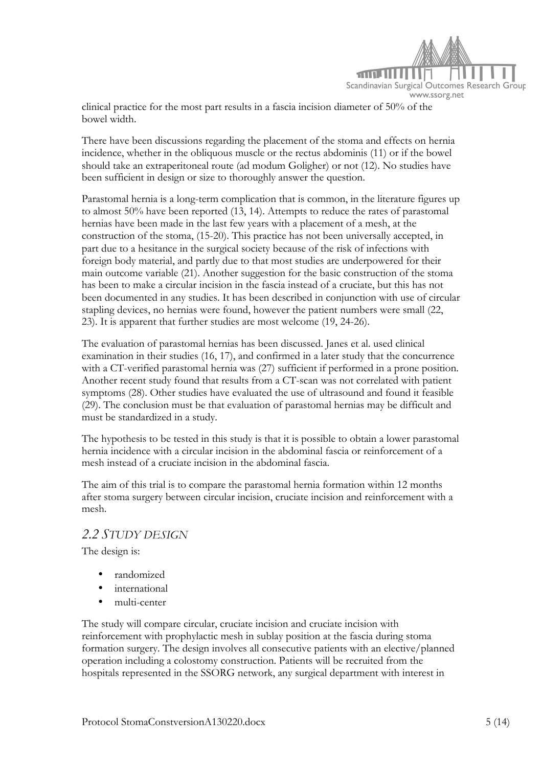

clinical practice for the most part results in a fascia incision diameter of 50% of the bowel width.

There have been discussions regarding the placement of the stoma and effects on hernia incidence, whether in the obliquous muscle or the rectus abdominis (11) or if the bowel should take an extraperitoneal route (ad modum Goligher) or not (12). No studies have been sufficient in design or size to thoroughly answer the question.

Parastomal hernia is a long-term complication that is common, in the literature figures up to almost 50% have been reported (13, 14). Attempts to reduce the rates of parastomal hernias have been made in the last few years with a placement of a mesh, at the construction of the stoma, (15-20). This practice has not been universally accepted, in part due to a hesitance in the surgical society because of the risk of infections with foreign body material, and partly due to that most studies are underpowered for their main outcome variable (21). Another suggestion for the basic construction of the stoma has been to make a circular incision in the fascia instead of a cruciate, but this has not been documented in any studies. It has been described in conjunction with use of circular stapling devices, no hernias were found, however the patient numbers were small (22, 23). It is apparent that further studies are most welcome (19, 24-26).

The evaluation of parastomal hernias has been discussed. Janes et al. used clinical examination in their studies (16, 17), and confirmed in a later study that the concurrence with a CT-verified parastomal hernia was (27) sufficient if performed in a prone position. Another recent study found that results from a CT-scan was not correlated with patient symptoms (28). Other studies have evaluated the use of ultrasound and found it feasible (29). The conclusion must be that evaluation of parastomal hernias may be difficult and must be standardized in a study.

The hypothesis to be tested in this study is that it is possible to obtain a lower parastomal hernia incidence with a circular incision in the abdominal fascia or reinforcement of a mesh instead of a cruciate incision in the abdominal fascia.

The aim of this trial is to compare the parastomal hernia formation within 12 months after stoma surgery between circular incision, cruciate incision and reinforcement with a mesh.

#### *2.2 STUDY DESIGN*

The design is:

- randomized
- international
- multi-center

The study will compare circular, cruciate incision and cruciate incision with reinforcement with prophylactic mesh in sublay position at the fascia during stoma formation surgery. The design involves all consecutive patients with an elective/planned operation including a colostomy construction. Patients will be recruited from the hospitals represented in the SSORG network, any surgical department with interest in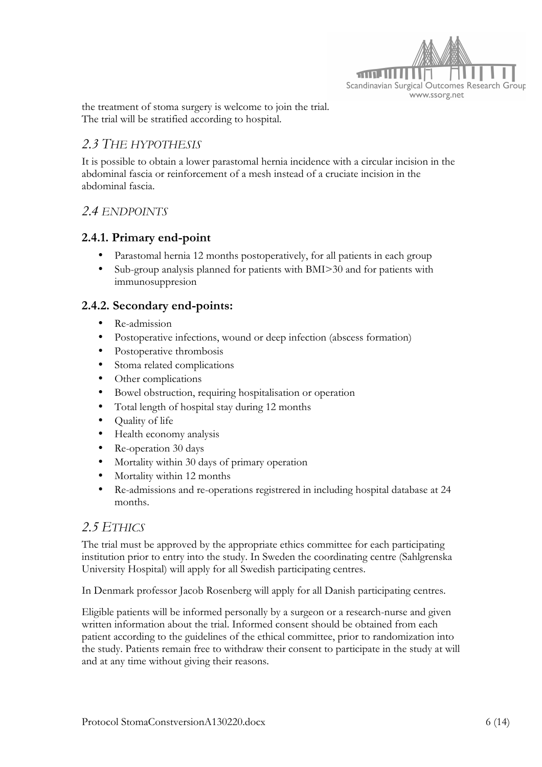

the treatment of stoma surgery is welcome to join the trial. The trial will be stratified according to hospital.

### *2.3 THE HYPOTHESIS*

It is possible to obtain a lower parastomal hernia incidence with a circular incision in the abdominal fascia or reinforcement of a mesh instead of a cruciate incision in the abdominal fascia.

### *2.4 ENDPOINTS*

#### **2.4.1. Primary end-point**

- Parastomal hernia 12 months postoperatively, for all patients in each group
- Sub-group analysis planned for patients with BMI>30 and for patients with immunosuppresion

#### **2.4.2. Secondary end-points:**

- Re-admission
- Postoperative infections, wound or deep infection (abscess formation)
- Postoperative thrombosis
- Stoma related complications
- Other complications
- Bowel obstruction, requiring hospitalisation or operation
- Total length of hospital stay during 12 months
- Quality of life
- Health economy analysis
- Re-operation 30 days
- Mortality within 30 days of primary operation
- Mortality within 12 months
- Re-admissions and re-operations registrered in including hospital database at 24 months.

## *2.5 ETHICS*

The trial must be approved by the appropriate ethics committee for each participating institution prior to entry into the study. In Sweden the coordinating centre (Sahlgrenska University Hospital) will apply for all Swedish participating centres.

In Denmark professor Jacob Rosenberg will apply for all Danish participating centres.

Eligible patients will be informed personally by a surgeon or a research-nurse and given written information about the trial. Informed consent should be obtained from each patient according to the guidelines of the ethical committee, prior to randomization into the study. Patients remain free to withdraw their consent to participate in the study at will and at any time without giving their reasons.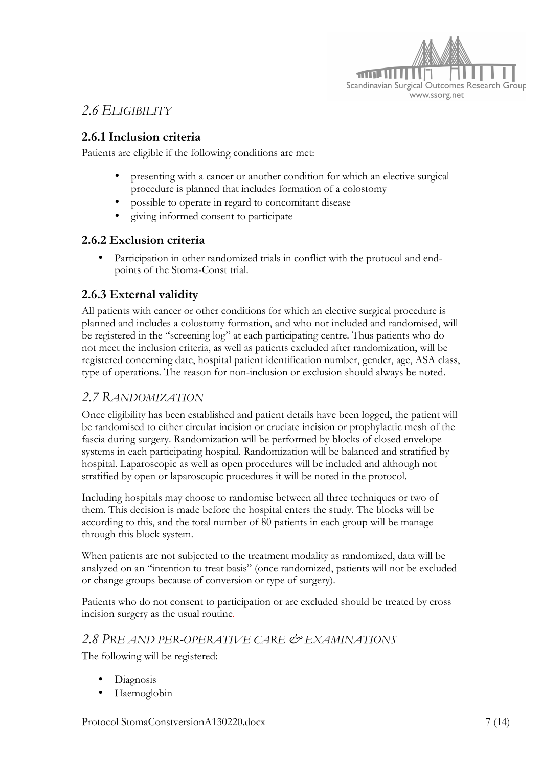

# *2.6 ELIGIBILITY*

### **2.6.1 Inclusion criteria**

Patients are eligible if the following conditions are met:

- presenting with a cancer or another condition for which an elective surgical procedure is planned that includes formation of a colostomy
- possible to operate in regard to concomitant disease
- giving informed consent to participate

#### **2.6.2 Exclusion criteria**

Participation in other randomized trials in conflict with the protocol and endpoints of the Stoma-Const trial.

### **2.6.3 External validity**

All patients with cancer or other conditions for which an elective surgical procedure is planned and includes a colostomy formation, and who not included and randomised, will be registered in the "screening log" at each participating centre. Thus patients who do not meet the inclusion criteria, as well as patients excluded after randomization, will be registered concerning date, hospital patient identification number, gender, age, ASA class, type of operations. The reason for non-inclusion or exclusion should always be noted.

#### *2.7 RANDOMIZATION*

Once eligibility has been established and patient details have been logged, the patient will be randomised to either circular incision or cruciate incision or prophylactic mesh of the fascia during surgery. Randomization will be performed by blocks of closed envelope systems in each participating hospital. Randomization will be balanced and stratified by hospital. Laparoscopic as well as open procedures will be included and although not stratified by open or laparoscopic procedures it will be noted in the protocol.

Including hospitals may choose to randomise between all three techniques or two of them. This decision is made before the hospital enters the study. The blocks will be according to this, and the total number of 80 patients in each group will be manage through this block system.

When patients are not subjected to the treatment modality as randomized, data will be analyzed on an "intention to treat basis" (once randomized, patients will not be excluded or change groups because of conversion or type of surgery).

Patients who do not consent to participation or are excluded should be treated by cross incision surgery as the usual routine*.*

#### *2.8 PRE AND PER-OPERATIVE CARE & EXAMINATIONS*

The following will be registered:

- Diagnosis
- Haemoglobin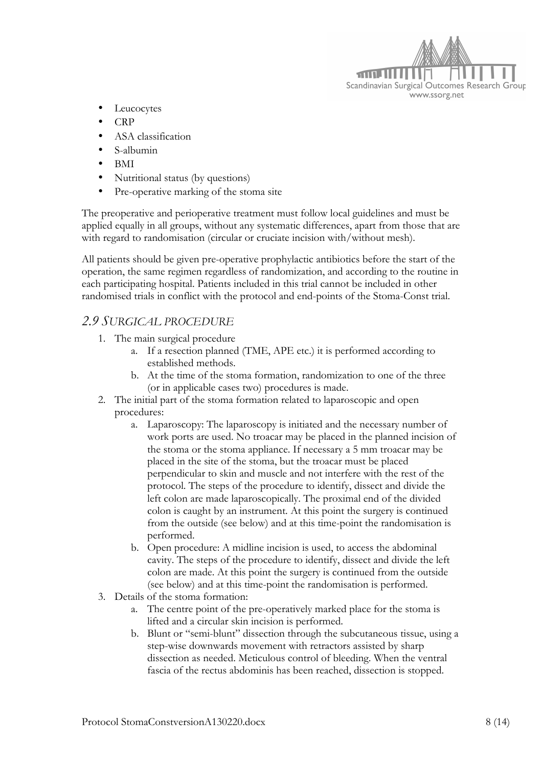

- Leucocytes
- CRP
- ASA classification
- S-albumin
- BMI
- Nutritional status (by questions)
- Pre-operative marking of the stoma site

The preoperative and perioperative treatment must follow local guidelines and must be applied equally in all groups, without any systematic differences, apart from those that are with regard to randomisation (circular or cruciate incision with/without mesh).

All patients should be given pre-operative prophylactic antibiotics before the start of the operation, the same regimen regardless of randomization, and according to the routine in each participating hospital. Patients included in this trial cannot be included in other randomised trials in conflict with the protocol and end-points of the Stoma-Const trial.

#### *2.9 SURGICAL PROCEDURE*

- 1. The main surgical procedure
	- a. If a resection planned (TME, APE etc.) it is performed according to established methods.
	- b. At the time of the stoma formation, randomization to one of the three (or in applicable cases two) procedures is made.
- 2. The initial part of the stoma formation related to laparoscopic and open procedures:
	- a. Laparoscopy: The laparoscopy is initiated and the necessary number of work ports are used. No troacar may be placed in the planned incision of the stoma or the stoma appliance. If necessary a 5 mm troacar may be placed in the site of the stoma, but the troacar must be placed perpendicular to skin and muscle and not interfere with the rest of the protocol. The steps of the procedure to identify, dissect and divide the left colon are made laparoscopically. The proximal end of the divided colon is caught by an instrument. At this point the surgery is continued from the outside (see below) and at this time-point the randomisation is performed.
	- b. Open procedure: A midline incision is used, to access the abdominal cavity. The steps of the procedure to identify, dissect and divide the left colon are made. At this point the surgery is continued from the outside (see below) and at this time-point the randomisation is performed.
- 3. Details of the stoma formation:
	- a. The centre point of the pre-operatively marked place for the stoma is lifted and a circular skin incision is performed.
	- b. Blunt or "semi-blunt" dissection through the subcutaneous tissue, using a step-wise downwards movement with retractors assisted by sharp dissection as needed. Meticulous control of bleeding. When the ventral fascia of the rectus abdominis has been reached, dissection is stopped.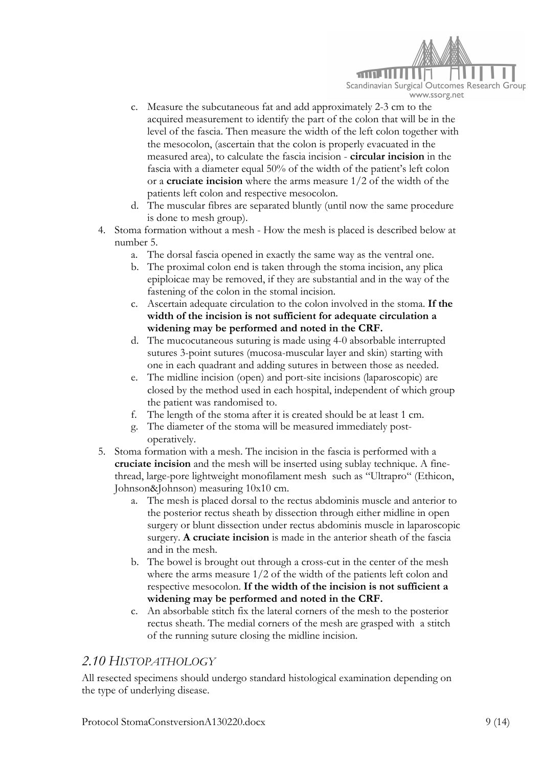

- c. Measure the subcutaneous fat and add approximately 2-3 cm to the acquired measurement to identify the part of the colon that will be in the level of the fascia. Then measure the width of the left colon together with the mesocolon, (ascertain that the colon is properly evacuated in the measured area), to calculate the fascia incision - **circular incision** in the fascia with a diameter equal 50% of the width of the patient's left colon or a **cruciate incision** where the arms measure 1/2 of the width of the patients left colon and respective mesocolon.
- d. The muscular fibres are separated bluntly (until now the same procedure is done to mesh group).
- 4. Stoma formation without a mesh How the mesh is placed is described below at number 5.
	- a. The dorsal fascia opened in exactly the same way as the ventral one.
	- b. The proximal colon end is taken through the stoma incision, any plica epiploicae may be removed, if they are substantial and in the way of the fastening of the colon in the stomal incision.
	- c. Ascertain adequate circulation to the colon involved in the stoma. **If the width of the incision is not sufficient for adequate circulation a widening may be performed and noted in the CRF.**
	- d. The mucocutaneous suturing is made using 4-0 absorbable interrupted sutures 3-point sutures (mucosa-muscular layer and skin) starting with one in each quadrant and adding sutures in between those as needed.
	- e. The midline incision (open) and port-site incisions (laparoscopic) are closed by the method used in each hospital, independent of which group the patient was randomised to.
	- f. The length of the stoma after it is created should be at least 1 cm.
	- g. The diameter of the stoma will be measured immediately postoperatively.
- 5. Stoma formation with a mesh. The incision in the fascia is performed with a **cruciate incision** and the mesh will be inserted using sublay technique. A finethread, large-pore lightweight monofilament mesh such as "Ultrapro" (Ethicon, Johnson&Johnson) measuring 10x10 cm.
	- a. The mesh is placed dorsal to the rectus abdominis muscle and anterior to the posterior rectus sheath by dissection through either midline in open surgery or blunt dissection under rectus abdominis muscle in laparoscopic surgery. **A cruciate incision** is made in the anterior sheath of the fascia and in the mesh.
	- b. The bowel is brought out through a cross-cut in the center of the mesh where the arms measure  $1/2$  of the width of the patients left colon and respective mesocolon. **If the width of the incision is not sufficient a widening may be performed and noted in the CRF.**
	- c. An absorbable stitch fix the lateral corners of the mesh to the posterior rectus sheath. The medial corners of the mesh are grasped with a stitch of the running suture closing the midline incision.

#### *2.10 HISTOPATHOLOGY*

All resected specimens should undergo standard histological examination depending on the type of underlying disease.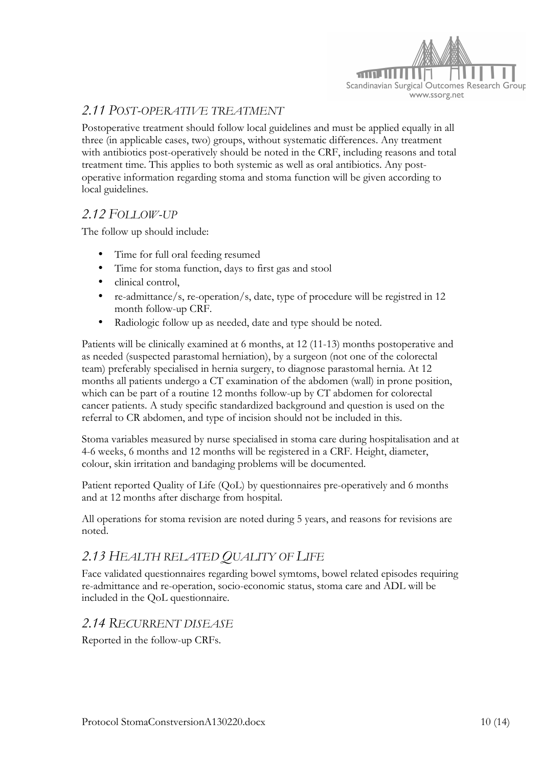

## *2.11 POST-OPERATIVE TREATMENT*

Postoperative treatment should follow local guidelines and must be applied equally in all three (in applicable cases, two) groups, without systematic differences. Any treatment with antibiotics post-operatively should be noted in the CRF, including reasons and total treatment time. This applies to both systemic as well as oral antibiotics. Any postoperative information regarding stoma and stoma function will be given according to local guidelines.

## *2.12 FOLLOW-UP*

The follow up should include:

- Time for full oral feeding resumed
- Time for stoma function, days to first gas and stool
- clinical control,
- re-admittance/s, re-operation/s, date, type of procedure will be registred in 12 month follow-up CRF.
- Radiologic follow up as needed, date and type should be noted.

Patients will be clinically examined at 6 months, at 12 (11-13) months postoperative and as needed (suspected parastomal herniation), by a surgeon (not one of the colorectal team) preferably specialised in hernia surgery, to diagnose parastomal hernia. At 12 months all patients undergo a CT examination of the abdomen (wall) in prone position, which can be part of a routine 12 months follow-up by CT abdomen for colorectal cancer patients. A study specific standardized background and question is used on the referral to CR abdomen, and type of incision should not be included in this.

Stoma variables measured by nurse specialised in stoma care during hospitalisation and at 4-6 weeks, 6 months and 12 months will be registered in a CRF. Height, diameter, colour, skin irritation and bandaging problems will be documented.

Patient reported Quality of Life (QoL) by questionnaires pre-operatively and 6 months and at 12 months after discharge from hospital.

All operations for stoma revision are noted during 5 years, and reasons for revisions are noted.

## *2.13 HEALTH RELATED QUALITY OF LIFE*

Face validated questionnaires regarding bowel symtoms, bowel related episodes requiring re-admittance and re-operation, socio-economic status, stoma care and ADL will be included in the QoL questionnaire.

#### *2.14 RECURRENT DISEASE*

Reported in the follow-up CRFs.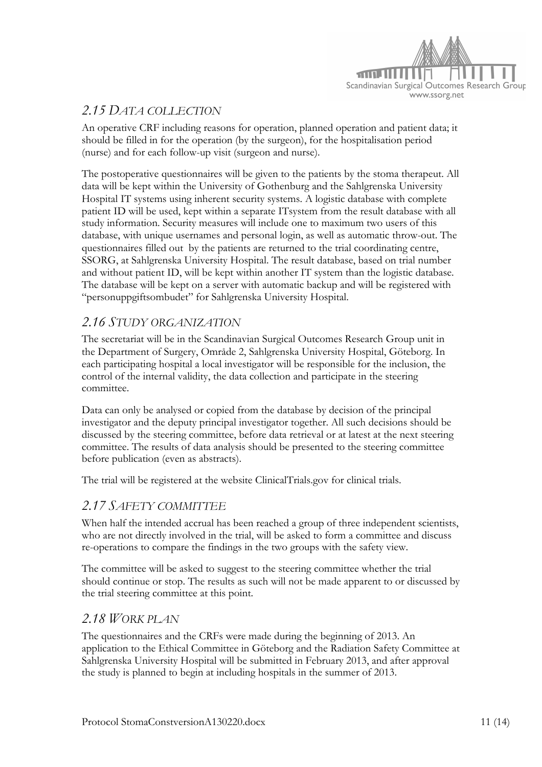

# *2.15 DATA COLLECTION*

An operative CRF including reasons for operation, planned operation and patient data; it should be filled in for the operation (by the surgeon), for the hospitalisation period (nurse) and for each follow-up visit (surgeon and nurse).

The postoperative questionnaires will be given to the patients by the stoma therapeut. All data will be kept within the University of Gothenburg and the Sahlgrenska University Hospital IT systems using inherent security systems. A logistic database with complete patient ID will be used, kept within a separate ITsystem from the result database with all study information. Security measures will include one to maximum two users of this database, with unique usernames and personal login, as well as automatic throw-out. The questionnaires filled out by the patients are returned to the trial coordinating centre, SSORG, at Sahlgrenska University Hospital. The result database, based on trial number and without patient ID, will be kept within another IT system than the logistic database. The database will be kept on a server with automatic backup and will be registered with "personuppgiftsombudet" for Sahlgrenska University Hospital.

## *2.16 STUDY ORGANIZATION*

The secretariat will be in the Scandinavian Surgical Outcomes Research Group unit in the Department of Surgery, Område 2, Sahlgrenska University Hospital, Göteborg. In each participating hospital a local investigator will be responsible for the inclusion, the control of the internal validity, the data collection and participate in the steering committee.

Data can only be analysed or copied from the database by decision of the principal investigator and the deputy principal investigator together. All such decisions should be discussed by the steering committee, before data retrieval or at latest at the next steering committee. The results of data analysis should be presented to the steering committee before publication (even as abstracts).

The trial will be registered at the website ClinicalTrials.gov for clinical trials.

## *2.17 SAFETY COMMITTEE*

When half the intended accrual has been reached a group of three independent scientists, who are not directly involved in the trial, will be asked to form a committee and discuss re-operations to compare the findings in the two groups with the safety view.

The committee will be asked to suggest to the steering committee whether the trial should continue or stop. The results as such will not be made apparent to or discussed by the trial steering committee at this point.

## *2.18 WORK PLAN*

The questionnaires and the CRFs were made during the beginning of 2013. An application to the Ethical Committee in Göteborg and the Radiation Safety Committee at Sahlgrenska University Hospital will be submitted in February 2013, and after approval the study is planned to begin at including hospitals in the summer of 2013.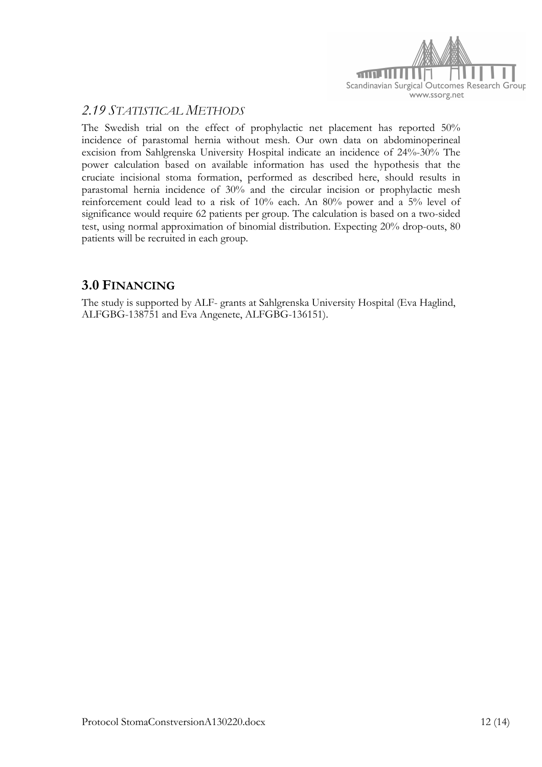

## *2.19 STATISTICAL METHODS*

The Swedish trial on the effect of prophylactic net placement has reported 50% incidence of parastomal hernia without mesh. Our own data on abdominoperineal excision from Sahlgrenska University Hospital indicate an incidence of 24%-30% The power calculation based on available information has used the hypothesis that the cruciate incisional stoma formation, performed as described here, should results in parastomal hernia incidence of 30% and the circular incision or prophylactic mesh reinforcement could lead to a risk of 10% each. An 80% power and a 5% level of significance would require 62 patients per group. The calculation is based on a two-sided test, using normal approximation of binomial distribution. Expecting 20% drop-outs, 80 patients will be recruited in each group.

## **3.0 FINANCING**

The study is supported by ALF- grants at Sahlgrenska University Hospital (Eva Haglind, ALFGBG-138751 and Eva Angenete, ALFGBG-136151).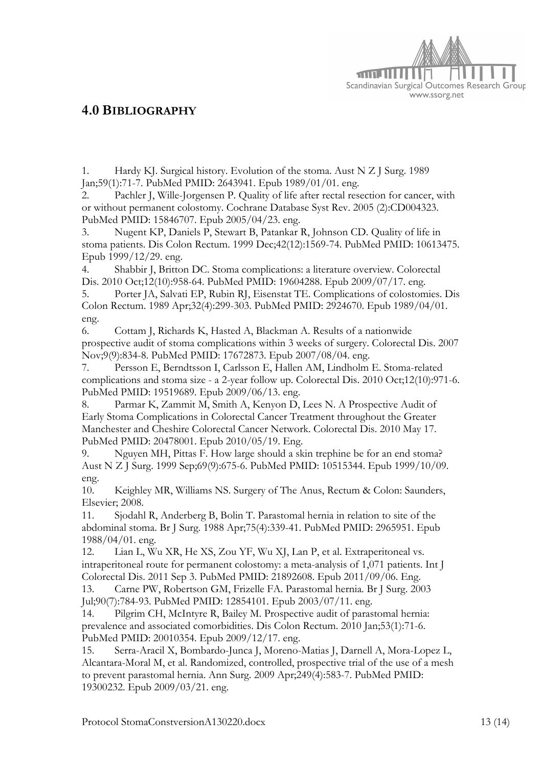

## **4.0 BIBLIOGRAPHY**

1. Hardy KJ. Surgical history. Evolution of the stoma. Aust N Z J Surg. 1989 Jan;59(1):71-7. PubMed PMID: 2643941. Epub 1989/01/01. eng.

2. Pachler J, Wille-Jorgensen P. Quality of life after rectal resection for cancer, with or without permanent colostomy. Cochrane Database Syst Rev. 2005 (2):CD004323. PubMed PMID: 15846707. Epub 2005/04/23. eng.

3. Nugent KP, Daniels P, Stewart B, Patankar R, Johnson CD. Quality of life in stoma patients. Dis Colon Rectum. 1999 Dec;42(12):1569-74. PubMed PMID: 10613475. Epub 1999/12/29. eng.

4. Shabbir J, Britton DC. Stoma complications: a literature overview. Colorectal Dis. 2010 Oct;12(10):958-64. PubMed PMID: 19604288. Epub 2009/07/17. eng.

5. Porter JA, Salvati EP, Rubin RJ, Eisenstat TE. Complications of colostomies. Dis Colon Rectum. 1989 Apr;32(4):299-303. PubMed PMID: 2924670. Epub 1989/04/01. eng.

6. Cottam J, Richards K, Hasted A, Blackman A. Results of a nationwide prospective audit of stoma complications within 3 weeks of surgery. Colorectal Dis. 2007 Nov;9(9):834-8. PubMed PMID: 17672873. Epub 2007/08/04. eng.

7. Persson E, Berndtsson I, Carlsson E, Hallen AM, Lindholm E. Stoma-related complications and stoma size - a 2-year follow up. Colorectal Dis. 2010 Oct;12(10):971-6. PubMed PMID: 19519689. Epub 2009/06/13. eng.

8. Parmar K, Zammit M, Smith A, Kenyon D, Lees N. A Prospective Audit of Early Stoma Complications in Colorectal Cancer Treatment throughout the Greater Manchester and Cheshire Colorectal Cancer Network. Colorectal Dis. 2010 May 17. PubMed PMID: 20478001. Epub 2010/05/19. Eng.

9. Nguyen MH, Pittas F. How large should a skin trephine be for an end stoma? Aust N Z J Surg. 1999 Sep;69(9):675-6. PubMed PMID: 10515344. Epub 1999/10/09. eng.

10. Keighley MR, Williams NS. Surgery of The Anus, Rectum & Colon: Saunders, Elsevier; 2008.

11. Sjodahl R, Anderberg B, Bolin T. Parastomal hernia in relation to site of the abdominal stoma. Br J Surg. 1988 Apr;75(4):339-41. PubMed PMID: 2965951. Epub 1988/04/01. eng.

12. Lian L, Wu XR, He XS, Zou YF, Wu XJ, Lan P, et al. Extraperitoneal vs. intraperitoneal route for permanent colostomy: a meta-analysis of 1,071 patients. Int J Colorectal Dis. 2011 Sep 3. PubMed PMID: 21892608. Epub 2011/09/06. Eng.

13. Carne PW, Robertson GM, Frizelle FA. Parastomal hernia. Br J Surg. 2003 Jul;90(7):784-93. PubMed PMID: 12854101. Epub 2003/07/11. eng.

14. Pilgrim CH, McIntyre R, Bailey M. Prospective audit of parastomal hernia: prevalence and associated comorbidities. Dis Colon Rectum. 2010 Jan;53(1):71-6. PubMed PMID: 20010354. Epub 2009/12/17. eng.

15. Serra-Aracil X, Bombardo-Junca J, Moreno-Matias J, Darnell A, Mora-Lopez L, Alcantara-Moral M, et al. Randomized, controlled, prospective trial of the use of a mesh to prevent parastomal hernia. Ann Surg. 2009 Apr;249(4):583-7. PubMed PMID: 19300232. Epub 2009/03/21. eng.